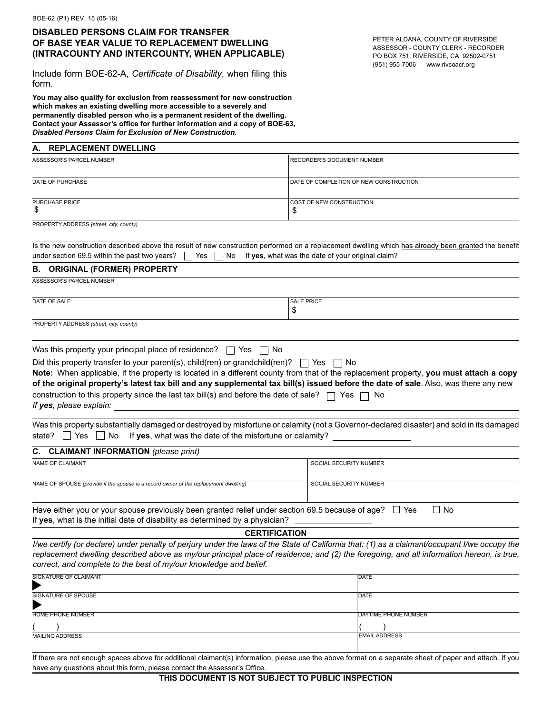## **DISABLED PERSONS CLAIM FOR TRANSFER OF BASE YEAR VALUE TO REPLACEMENT DWELLING (INTRACOUNTY AND INTERCOUNTY, WHEN APPLICABLE)**

| OF BASE YEAR VALUE TO REPLACEMENT DWELLING<br>(INTRACOUNTY AND INTERCOUNTY, WHEN APPLICABLE)                                                                                                                                                                                                                                                                                                                                                                                                                                                  | PETER ALDANA, COUNTY OF RIVERSIDE<br>ASSESSOR - COUNTY CLERK - RECORDER<br>PO BOX 751, RIVERSIDE, CA 92502-0751 |  |
|-----------------------------------------------------------------------------------------------------------------------------------------------------------------------------------------------------------------------------------------------------------------------------------------------------------------------------------------------------------------------------------------------------------------------------------------------------------------------------------------------------------------------------------------------|-----------------------------------------------------------------------------------------------------------------|--|
| Include form BOE-62-A, Certificate of Disability, when filing this<br>form.                                                                                                                                                                                                                                                                                                                                                                                                                                                                   | (951) 955-7006 www.rivcoacr.org                                                                                 |  |
| You may also qualify for exclusion from reassessment for new construction<br>which makes an existing dwelling more accessible to a severely and<br>permanently disabled person who is a permanent resident of the dwelling.<br>Contact your Assessor's office for further information and a copy of BOE-63,<br>Disabled Persons Claim for Exclusion of New Construction.                                                                                                                                                                      |                                                                                                                 |  |
| A. REPLACEMENT DWELLING                                                                                                                                                                                                                                                                                                                                                                                                                                                                                                                       |                                                                                                                 |  |
| ASSESSOR'S PARCEL NUMBER                                                                                                                                                                                                                                                                                                                                                                                                                                                                                                                      | RECORDER'S DOCUMENT NUMBER                                                                                      |  |
| DATE OF PURCHASE                                                                                                                                                                                                                                                                                                                                                                                                                                                                                                                              | DATE OF COMPLETION OF NEW CONSTRUCTION                                                                          |  |
| PURCHASE PRICE<br>\$                                                                                                                                                                                                                                                                                                                                                                                                                                                                                                                          | COST OF NEW CONSTRUCTION<br>\$                                                                                  |  |
| PROPERTY ADDRESS (street, city, county)                                                                                                                                                                                                                                                                                                                                                                                                                                                                                                       |                                                                                                                 |  |
| Is the new construction described above the result of new construction performed on a replacement dwelling which has already been granted the benefit<br>under section 69.5 within the past two years?<br>Yes<br>No                                                                                                                                                                                                                                                                                                                           | If yes, what was the date of your original claim?                                                               |  |
| <b>B. ORIGINAL (FORMER) PROPERTY</b>                                                                                                                                                                                                                                                                                                                                                                                                                                                                                                          |                                                                                                                 |  |
| ASSESSOR'S PARCEL NUMBER                                                                                                                                                                                                                                                                                                                                                                                                                                                                                                                      |                                                                                                                 |  |
| DATE OF SALE                                                                                                                                                                                                                                                                                                                                                                                                                                                                                                                                  | <b>SALE PRICE</b>                                                                                               |  |
| PROPERTY ADDRESS (street, city, county)                                                                                                                                                                                                                                                                                                                                                                                                                                                                                                       | \$                                                                                                              |  |
|                                                                                                                                                                                                                                                                                                                                                                                                                                                                                                                                               |                                                                                                                 |  |
| Note: When applicable, if the property is located in a different county from that of the replacement property, you must attach a copy<br>of the original property's latest tax bill and any supplemental tax bill(s) issued before the date of sale. Also, was there any new<br>construction to this property since the last tax bill(s) and before the date of sale?<br>If yes, please explain:<br>Was this property substantially damaged or destroyed by misfortune or calamity (not a Governor-declared disaster) and sold in its damaged | Yes<br>No                                                                                                       |  |
| If yes, what was the date of the misfortune or calamity?<br>state?<br>Yes $  $<br>No                                                                                                                                                                                                                                                                                                                                                                                                                                                          |                                                                                                                 |  |
| <b>CLAIMANT INFORMATION</b> (please print)<br>С.                                                                                                                                                                                                                                                                                                                                                                                                                                                                                              |                                                                                                                 |  |
| <b>NAME OF CLAIMANT</b>                                                                                                                                                                                                                                                                                                                                                                                                                                                                                                                       | SOCIAL SECURITY NUMBER                                                                                          |  |
| NAME OF SPOUSE (provide if the spouse is a record owner of the replacement dwelling)                                                                                                                                                                                                                                                                                                                                                                                                                                                          | SOCIAL SECURITY NUMBER                                                                                          |  |
| Have either you or your spouse previously been granted relief under section 69.5 because of age? $\;\;\sqcup\;$ Yes<br>If yes, what is the initial date of disability as determined by a physician?                                                                                                                                                                                                                                                                                                                                           | $\Box$ No                                                                                                       |  |
| <b>CERTIFICATION</b>                                                                                                                                                                                                                                                                                                                                                                                                                                                                                                                          |                                                                                                                 |  |
| I/we certify (or declare) under penalty of perjury under the laws of the State of California that: (1) as a claimant/occupant I/we occupy the<br>replacement dwelling described above as my/our principal place of residence; and (2) the foregoing, and all information hereon, is true,<br>correct, and complete to the best of my/our knowledge and belief.                                                                                                                                                                                |                                                                                                                 |  |
| SIGNATURE OF CLAIMANT                                                                                                                                                                                                                                                                                                                                                                                                                                                                                                                         | <b>DATE</b>                                                                                                     |  |
| SIGNATURE OF SPOUSE                                                                                                                                                                                                                                                                                                                                                                                                                                                                                                                           | <b>DATE</b>                                                                                                     |  |
| <b>HOME PHONE NUMBER</b>                                                                                                                                                                                                                                                                                                                                                                                                                                                                                                                      | DAYTIME PHONE NUMBER                                                                                            |  |
|                                                                                                                                                                                                                                                                                                                                                                                                                                                                                                                                               |                                                                                                                 |  |
| <b>MAILING ADDRESS</b>                                                                                                                                                                                                                                                                                                                                                                                                                                                                                                                        | <b>EMAIL ADDRESS</b>                                                                                            |  |
| If there are not enough spaces above for additional claimant(s) information, please use the above format on a separate sheet of paper and attach. If you<br>have any questions about this form, please contact the Assessor's Office.                                                                                                                                                                                                                                                                                                         |                                                                                                                 |  |
| THIS DOCUMENT IS NOT SUBJECT TO PUBLIC INSPECTION                                                                                                                                                                                                                                                                                                                                                                                                                                                                                             |                                                                                                                 |  |

| SIGNATURE OF CLAIMANT<br>Þ | <b>DATE</b>                  |
|----------------------------|------------------------------|
| SIGNATURE OF SPOUSE<br>▶   | <b>DATE</b>                  |
| <b>HOME PHONE NUMBER</b>   | <b>IDAYTIME PHONE NUMBER</b> |
|                            |                              |
| <b>MAILING ADDRESS</b>     | <b>EMAIL ADDRESS</b>         |
| .                          |                              |